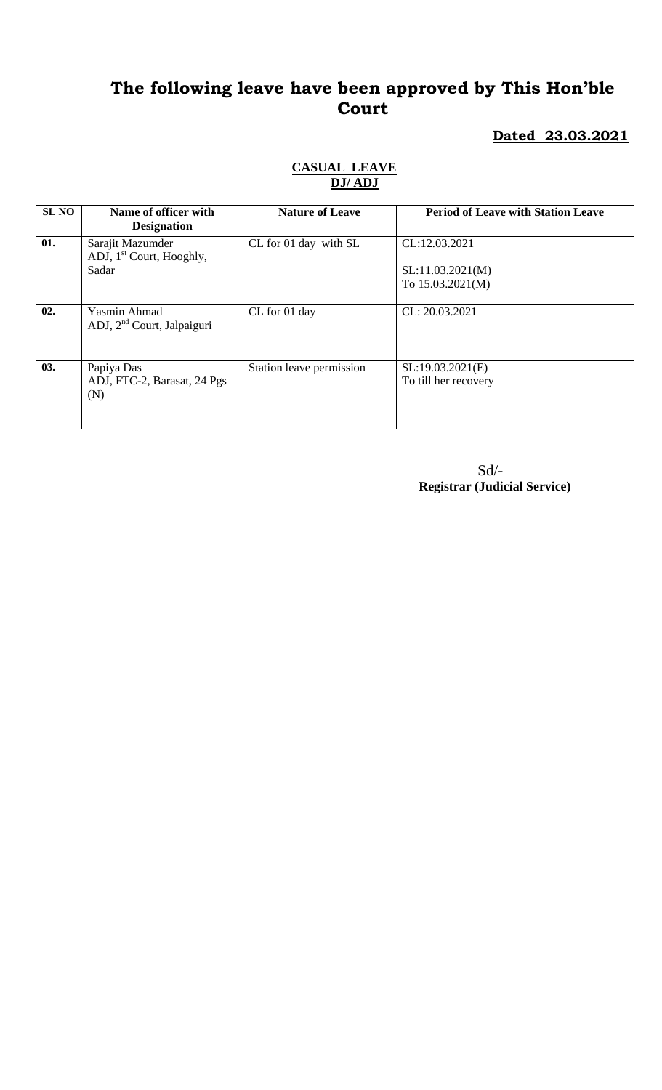#### **Dated 23.03.2021**

| <b>SL NO</b> | Name of officer with<br><b>Designation</b>                        | <b>Nature of Leave</b>   | <b>Period of Leave with Station Leave</b>               |
|--------------|-------------------------------------------------------------------|--------------------------|---------------------------------------------------------|
| 01.          | Sarajit Mazumder<br>ADJ, 1 <sup>st</sup> Court, Hooghly,<br>Sadar | CL for 01 day with SL    | CL:12.03.2021<br>SL:11.03.2021(M)<br>To $15.03.2021(M)$ |
| 02.          | Yasmin Ahmad<br>ADJ, 2 <sup>nd</sup> Court, Jalpaiguri            | CL for 01 day            | CL: 20.03.2021                                          |
| 03.          | Papiya Das<br>ADJ, FTC-2, Barasat, 24 Pgs<br>(N)                  | Station leave permission | SL:19.03.2021(E)<br>To till her recovery                |

### **CASUAL LEAVE DJ/ ADJ**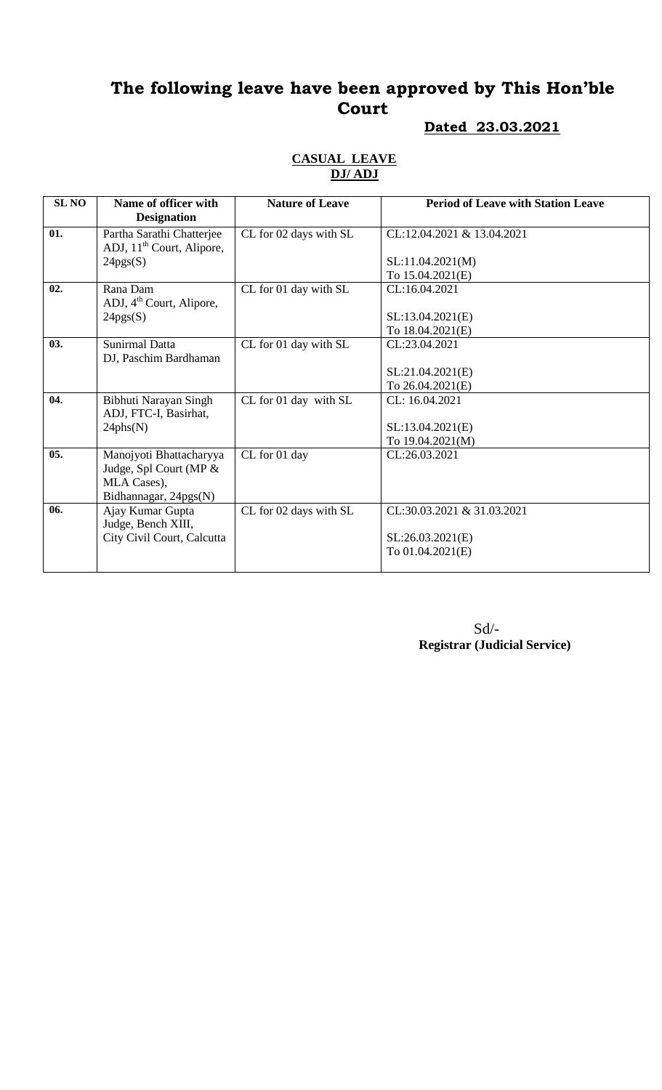#### **Dated 23.03.2021**

#### **CASUAL LEAVE DJ/ ADJ**

| <b>SL NO</b> | Name of officer with                 | <b>Nature of Leave</b> | <b>Period of Leave with Station Leave</b> |
|--------------|--------------------------------------|------------------------|-------------------------------------------|
|              | <b>Designation</b>                   |                        |                                           |
| 01.          | Partha Sarathi Chatterjee            | CL for 02 days with SL | CL:12.04.2021 & 13.04.2021                |
|              | ADJ, $11th$ Court, Alipore,          |                        |                                           |
|              | 24pgs(S)                             |                        | SL:11.04.2021(M)                          |
|              |                                      |                        | To 15.04.2021(E)                          |
| 02.          | Rana Dam                             | CL for 01 day with SL  | CL:16.04.2021                             |
|              | ADJ, 4 <sup>th</sup> Court, Alipore, |                        |                                           |
|              | 24pgs(S)                             |                        | SL:13.04.2021(E)                          |
|              |                                      |                        | To 18.04.2021(E)                          |
| 03.          | Sunirmal Datta                       | CL for 01 day with SL  | CL:23.04.2021                             |
|              | DJ, Paschim Bardhaman                |                        |                                           |
|              |                                      |                        | SL:21.04.2021(E)                          |
|              |                                      |                        | To 26.04.2021(E)                          |
| 04.          | Bibhuti Narayan Singh                | CL for 01 day with SL  | CL: 16.04.2021                            |
|              | ADJ, FTC-I, Basirhat,                |                        |                                           |
|              | 24phs(N)                             |                        | SL:13.04.2021(E)                          |
|              |                                      |                        | To 19.04.2021(M)                          |
| 05.          | Manojyoti Bhattacharyya              | CL for 01 day          | CL:26.03.2021                             |
|              | Judge, Spl Court (MP &               |                        |                                           |
|              | MLA Cases),                          |                        |                                           |
|              | Bidhannagar, 24pgs(N)                |                        |                                           |
| 06.          | Ajay Kumar Gupta                     | CL for 02 days with SL | CL:30.03.2021 & 31.03.2021                |
|              | Judge, Bench XIII,                   |                        |                                           |
|              | City Civil Court, Calcutta           |                        | SL:26.03.2021(E)                          |
|              |                                      |                        | To 01.04.2021(E)                          |
|              |                                      |                        |                                           |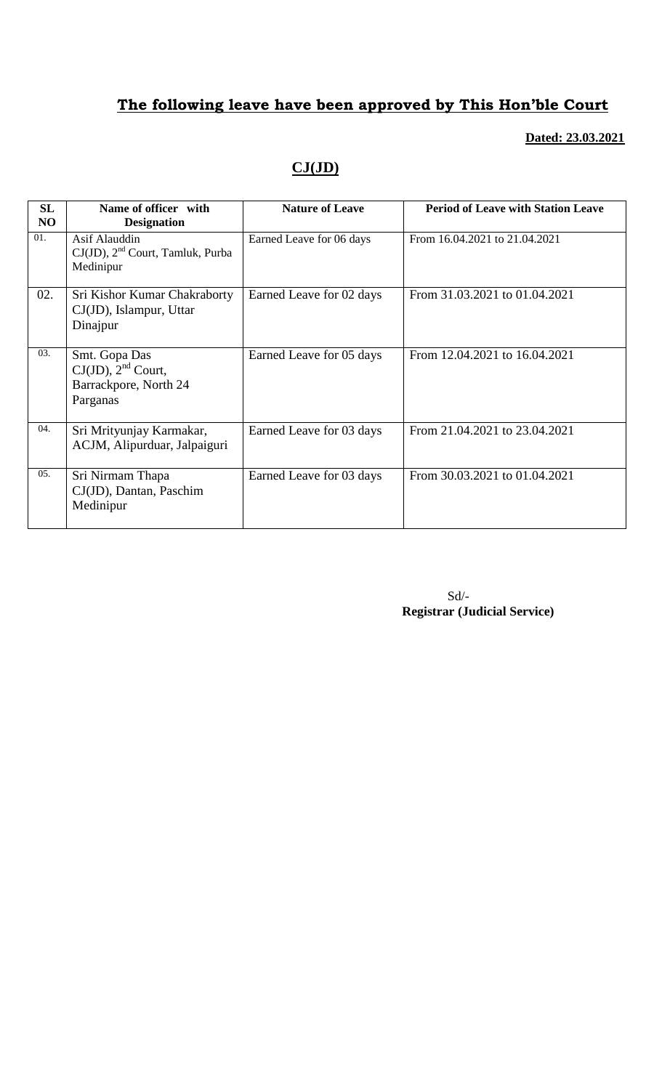#### **Dated: 23.03.2021**

## **CJ(JD)**

| SL<br>NO         | Name of officer with<br><b>Designation</b>                                    | <b>Nature of Leave</b>   | <b>Period of Leave with Station Leave</b> |
|------------------|-------------------------------------------------------------------------------|--------------------------|-------------------------------------------|
| 01.              | Asif Alauddin<br>$CJ(JD)$ , $2nd$ Court, Tamluk, Purba<br>Medinipur           | Earned Leave for 06 days | From 16.04.2021 to 21.04.2021             |
| 02.              | Sri Kishor Kumar Chakraborty<br>CJ(JD), Islampur, Uttar<br>Dinajpur           | Earned Leave for 02 days | From 31.03.2021 to 01.04.2021             |
| 03.              | Smt. Gopa Das<br>$CJ(JD)$ , $2nd$ Court,<br>Barrackpore, North 24<br>Parganas | Earned Leave for 05 days | From 12.04.2021 to 16.04.2021             |
| 04.              | Sri Mrityunjay Karmakar,<br>ACJM, Alipurduar, Jalpaiguri                      | Earned Leave for 03 days | From 21.04.2021 to 23.04.2021             |
| 0.5 <sub>1</sub> | Sri Nirmam Thapa<br>CJ(JD), Dantan, Paschim<br>Medinipur                      | Earned Leave for 03 days | From 30.03.2021 to 01.04.2021             |